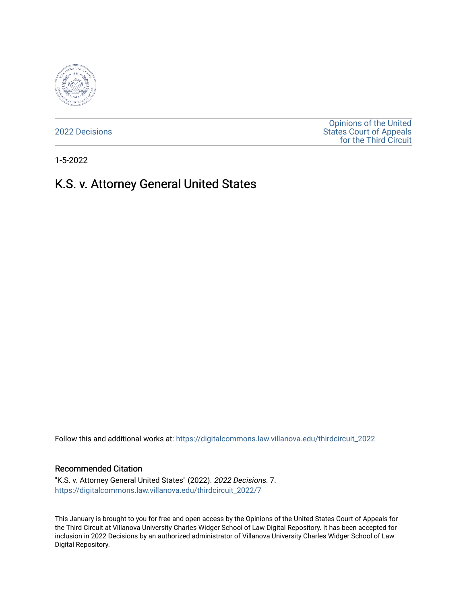

[2022 Decisions](https://digitalcommons.law.villanova.edu/thirdcircuit_2022)

[Opinions of the United](https://digitalcommons.law.villanova.edu/thirdcircuit)  [States Court of Appeals](https://digitalcommons.law.villanova.edu/thirdcircuit)  [for the Third Circuit](https://digitalcommons.law.villanova.edu/thirdcircuit) 

1-5-2022

# K.S. v. Attorney General United States

Follow this and additional works at: [https://digitalcommons.law.villanova.edu/thirdcircuit\\_2022](https://digitalcommons.law.villanova.edu/thirdcircuit_2022?utm_source=digitalcommons.law.villanova.edu%2Fthirdcircuit_2022%2F7&utm_medium=PDF&utm_campaign=PDFCoverPages) 

#### Recommended Citation

"K.S. v. Attorney General United States" (2022). 2022 Decisions. 7. [https://digitalcommons.law.villanova.edu/thirdcircuit\\_2022/7](https://digitalcommons.law.villanova.edu/thirdcircuit_2022/7?utm_source=digitalcommons.law.villanova.edu%2Fthirdcircuit_2022%2F7&utm_medium=PDF&utm_campaign=PDFCoverPages) 

This January is brought to you for free and open access by the Opinions of the United States Court of Appeals for the Third Circuit at Villanova University Charles Widger School of Law Digital Repository. It has been accepted for inclusion in 2022 Decisions by an authorized administrator of Villanova University Charles Widger School of Law Digital Repository.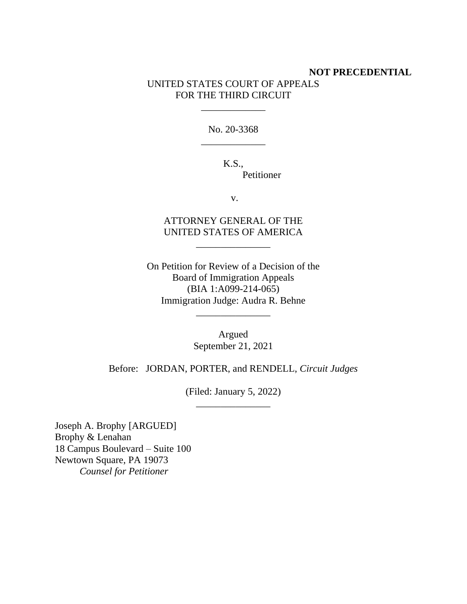# **NOT PRECEDENTIAL**

## UNITED STATES COURT OF APPEALS FOR THE THIRD CIRCUIT

\_\_\_\_\_\_\_\_\_\_\_\_\_

No. 20-3368 \_\_\_\_\_\_\_\_\_\_\_\_\_

> K.S., Petitioner

> > v.

ATTORNEY GENERAL OF THE UNITED STATES OF AMERICA

\_\_\_\_\_\_\_\_\_\_\_\_\_\_\_

On Petition for Review of a Decision of the Board of Immigration Appeals (BIA 1:A099-214-065) Immigration Judge: Audra R. Behne

\_\_\_\_\_\_\_\_\_\_\_\_\_\_\_

Argued September 21, 2021

Before: JORDAN, PORTER, and RENDELL, *Circuit Judges*

(Filed: January 5, 2022) \_\_\_\_\_\_\_\_\_\_\_\_\_\_\_

Joseph A. Brophy [ARGUED] Brophy & Lenahan 18 Campus Boulevard – Suite 100 Newtown Square, PA 19073 *Counsel for Petitioner*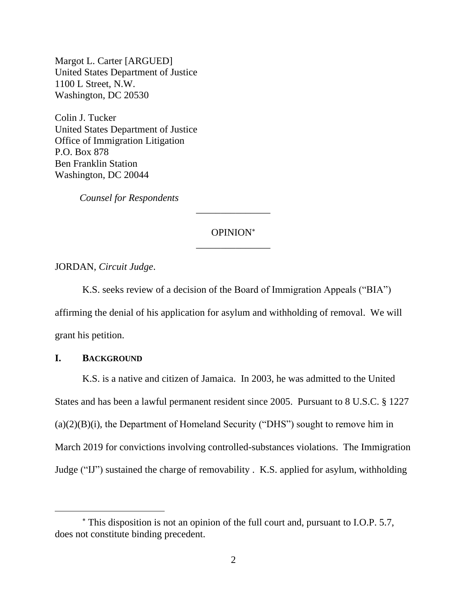Margot L. Carter [ARGUED] United States Department of Justice 1100 L Street, N.W. Washington, DC 20530

Colin J. Tucker United States Department of Justice Office of Immigration Litigation P.O. Box 878 Ben Franklin Station Washington, DC 20044

*Counsel for Respondents*

## OPINION \_\_\_\_\_\_\_\_\_\_\_\_\_\_\_

\_\_\_\_\_\_\_\_\_\_\_\_\_\_\_

JORDAN, *Circuit Judge*.

K.S. seeks review of a decision of the Board of Immigration Appeals ("BIA") affirming the denial of his application for asylum and withholding of removal. We will grant his petition.

### **I. BACKGROUND**

K.S. is a native and citizen of Jamaica. In 2003, he was admitted to the United States and has been a lawful permanent resident since 2005. Pursuant to 8 U.S.C. § 1227  $(a)(2)(B)(i)$ , the Department of Homeland Security ("DHS") sought to remove him in March 2019 for convictions involving controlled-substances violations. The Immigration Judge ("IJ") sustained the charge of removability . K.S. applied for asylum, withholding

This disposition is not an opinion of the full court and, pursuant to I.O.P. 5.7, does not constitute binding precedent.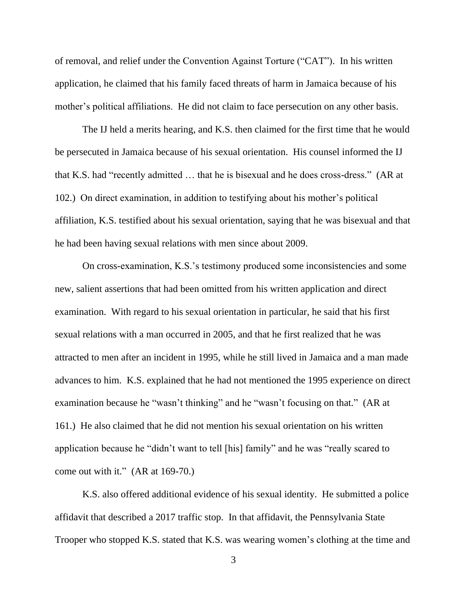of removal, and relief under the Convention Against Torture ("CAT"). In his written application, he claimed that his family faced threats of harm in Jamaica because of his mother's political affiliations. He did not claim to face persecution on any other basis.

The IJ held a merits hearing, and K.S. then claimed for the first time that he would be persecuted in Jamaica because of his sexual orientation. His counsel informed the IJ that K.S. had "recently admitted … that he is bisexual and he does cross-dress." (AR at 102.) On direct examination, in addition to testifying about his mother's political affiliation, K.S. testified about his sexual orientation, saying that he was bisexual and that he had been having sexual relations with men since about 2009.

On cross-examination, K.S.'s testimony produced some inconsistencies and some new, salient assertions that had been omitted from his written application and direct examination. With regard to his sexual orientation in particular, he said that his first sexual relations with a man occurred in 2005, and that he first realized that he was attracted to men after an incident in 1995, while he still lived in Jamaica and a man made advances to him. K.S. explained that he had not mentioned the 1995 experience on direct examination because he "wasn't thinking" and he "wasn't focusing on that." (AR at 161.) He also claimed that he did not mention his sexual orientation on his written application because he "didn't want to tell [his] family" and he was "really scared to come out with it." (AR at 169-70.)

K.S. also offered additional evidence of his sexual identity. He submitted a police affidavit that described a 2017 traffic stop. In that affidavit, the Pennsylvania State Trooper who stopped K.S. stated that K.S. was wearing women's clothing at the time and

3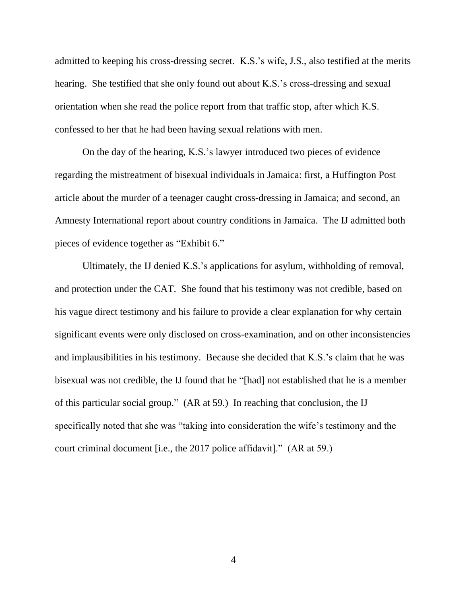admitted to keeping his cross-dressing secret. K.S.'s wife, J.S., also testified at the merits hearing. She testified that she only found out about K.S.'s cross-dressing and sexual orientation when she read the police report from that traffic stop, after which K.S. confessed to her that he had been having sexual relations with men.

On the day of the hearing, K.S.'s lawyer introduced two pieces of evidence regarding the mistreatment of bisexual individuals in Jamaica: first, a Huffington Post article about the murder of a teenager caught cross-dressing in Jamaica; and second, an Amnesty International report about country conditions in Jamaica. The IJ admitted both pieces of evidence together as "Exhibit 6."

Ultimately, the IJ denied K.S.'s applications for asylum, withholding of removal, and protection under the CAT. She found that his testimony was not credible, based on his vague direct testimony and his failure to provide a clear explanation for why certain significant events were only disclosed on cross-examination, and on other inconsistencies and implausibilities in his testimony. Because she decided that K.S.'s claim that he was bisexual was not credible, the IJ found that he "[had] not established that he is a member of this particular social group." (AR at 59.) In reaching that conclusion, the IJ specifically noted that she was "taking into consideration the wife's testimony and the court criminal document [i.e., the 2017 police affidavit]." (AR at 59.)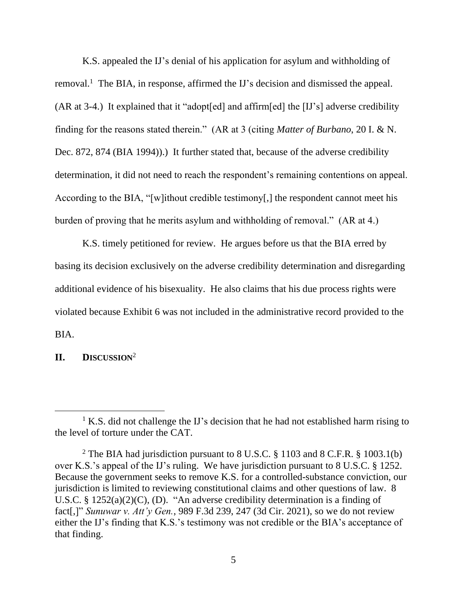K.S. appealed the IJ's denial of his application for asylum and withholding of removal.<sup>1</sup> The BIA, in response, affirmed the IJ's decision and dismissed the appeal. (AR at 3-4.) It explained that it "adopt[ed] and affirm[ed] the [IJ's] adverse credibility finding for the reasons stated therein." (AR at 3 (citing *Matter of Burbano*, 20 I. & N. Dec. 872, 874 (BIA 1994)).) It further stated that, because of the adverse credibility determination, it did not need to reach the respondent's remaining contentions on appeal. According to the BIA, "[w]ithout credible testimony[,] the respondent cannot meet his burden of proving that he merits asylum and withholding of removal." (AR at 4.)

K.S. timely petitioned for review. He argues before us that the BIA erred by basing its decision exclusively on the adverse credibility determination and disregarding additional evidence of his bisexuality. He also claims that his due process rights were violated because Exhibit 6 was not included in the administrative record provided to the BIA.

**II. DISCUSSION**<sup>2</sup>

 $1 K.S.$  did not challenge the IJ's decision that he had not established harm rising to the level of torture under the CAT.

<sup>&</sup>lt;sup>2</sup> The BIA had jurisdiction pursuant to 8 U.S.C. § 1103 and 8 C.F.R. § 1003.1(b) over K.S.'s appeal of the IJ's ruling. We have jurisdiction pursuant to 8 U.S.C. § 1252. Because the government seeks to remove K.S. for a controlled-substance conviction, our jurisdiction is limited to reviewing constitutional claims and other questions of law. 8 U.S.C. § 1252(a)(2)(C), (D). "An adverse credibility determination is a finding of fact[,]" *Sunuwar v. Att'y Gen.*, 989 F.3d 239, 247 (3d Cir. 2021), so we do not review either the IJ's finding that K.S.'s testimony was not credible or the BIA's acceptance of that finding.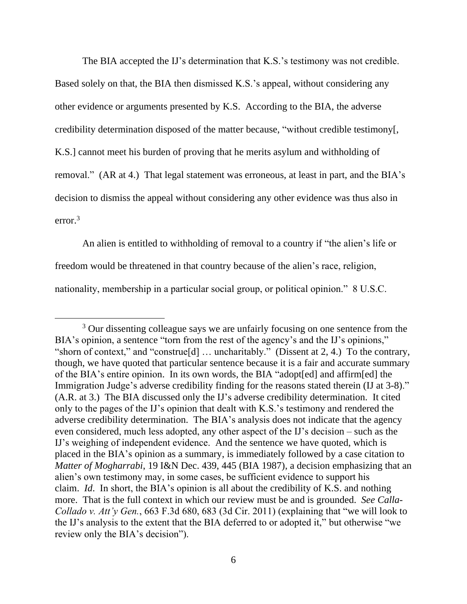The BIA accepted the IJ's determination that K.S.'s testimony was not credible. Based solely on that, the BIA then dismissed K.S.'s appeal, without considering any other evidence or arguments presented by K.S. According to the BIA, the adverse credibility determination disposed of the matter because, "without credible testimony[, K.S.] cannot meet his burden of proving that he merits asylum and withholding of removal." (AR at 4.) That legal statement was erroneous, at least in part, and the BIA's decision to dismiss the appeal without considering any other evidence was thus also in error. 3

An alien is entitled to withholding of removal to a country if "the alien's life or freedom would be threatened in that country because of the alien's race, religion, nationality, membership in a particular social group, or political opinion." 8 U.S.C.

<sup>&</sup>lt;sup>3</sup> Our dissenting colleague says we are unfairly focusing on one sentence from the BIA's opinion, a sentence "torn from the rest of the agency's and the IJ's opinions," "shorn of context," and "construe[d] … uncharitably." (Dissent at 2, 4.) To the contrary, though, we have quoted that particular sentence because it is a fair and accurate summary of the BIA's entire opinion. In its own words, the BIA "adopt[ed] and affirm[ed] the Immigration Judge's adverse credibility finding for the reasons stated therein (IJ at 3-8)." (A.R. at 3.) The BIA discussed only the IJ's adverse credibility determination. It cited only to the pages of the IJ's opinion that dealt with K.S.'s testimony and rendered the adverse credibility determination. The BIA's analysis does not indicate that the agency even considered, much less adopted, any other aspect of the IJ's decision – such as the IJ's weighing of independent evidence. And the sentence we have quoted, which is placed in the BIA's opinion as a summary, is immediately followed by a case citation to *Matter of Mogharrabi*, 19 I&N Dec. 439, 445 (BIA 1987), a decision emphasizing that an alien's own testimony may, in some cases, be sufficient evidence to support his claim. *Id*. In short, the BIA's opinion is all about the credibility of K.S. and nothing more. That is the full context in which our review must be and is grounded. *See Calla-Collado v. Att'y Gen.*, 663 F.3d 680, 683 (3d Cir. 2011) (explaining that "we will look to the IJ's analysis to the extent that the BIA deferred to or adopted it," but otherwise "we review only the BIA's decision").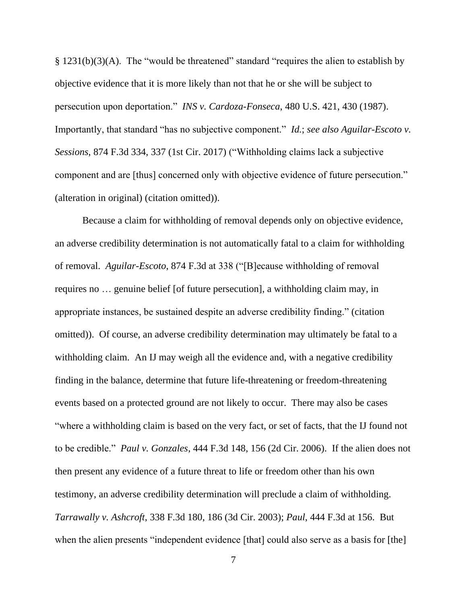§ 1231(b)(3)(A). The "would be threatened" standard "requires the alien to establish by objective evidence that it is more likely than not that he or she will be subject to persecution upon deportation." *INS v. Cardoza-Fonseca*, 480 U.S. 421, 430 (1987). Importantly, that standard "has no subjective component." *Id.*; *see also Aguilar-Escoto v. Sessions*, 874 F.3d 334, 337 (1st Cir. 2017) ("Withholding claims lack a subjective component and are [thus] concerned only with objective evidence of future persecution." (alteration in original) (citation omitted)).

Because a claim for withholding of removal depends only on objective evidence, an adverse credibility determination is not automatically fatal to a claim for withholding of removal. *Aguilar-Escoto*, 874 F.3d at 338 ("[B]ecause withholding of removal requires no … genuine belief [of future persecution], a withholding claim may, in appropriate instances, be sustained despite an adverse credibility finding." (citation omitted)). Of course, an adverse credibility determination may ultimately be fatal to a withholding claim. An IJ may weigh all the evidence and, with a negative credibility finding in the balance, determine that future life-threatening or freedom-threatening events based on a protected ground are not likely to occur. There may also be cases "where a withholding claim is based on the very fact, or set of facts, that the IJ found not to be credible." *Paul v. Gonzales*, 444 F.3d 148, 156 (2d Cir. 2006). If the alien does not then present any evidence of a future threat to life or freedom other than his own testimony, an adverse credibility determination will preclude a claim of withholding. *Tarrawally v. Ashcroft*, 338 F.3d 180, 186 (3d Cir. 2003); *Paul*, 444 F.3d at 156. But when the alien presents "independent evidence [that] could also serve as a basis for [the]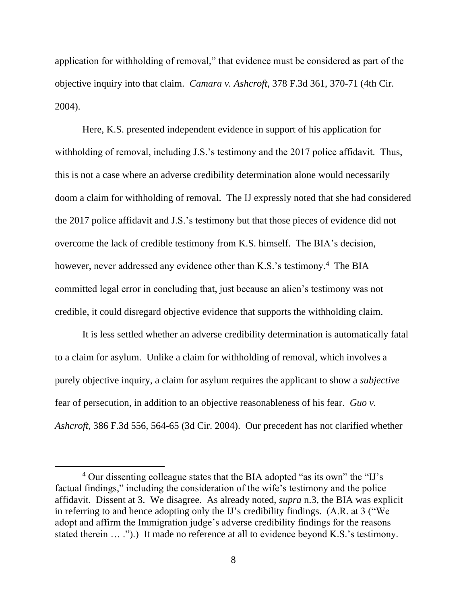application for withholding of removal," that evidence must be considered as part of the objective inquiry into that claim. *Camara v. Ashcroft*, 378 F.3d 361, 370-71 (4th Cir. 2004).

Here, K.S. presented independent evidence in support of his application for withholding of removal, including J.S.'s testimony and the 2017 police affidavit. Thus, this is not a case where an adverse credibility determination alone would necessarily doom a claim for withholding of removal. The IJ expressly noted that she had considered the 2017 police affidavit and J.S.'s testimony but that those pieces of evidence did not overcome the lack of credible testimony from K.S. himself. The BIA's decision, however, never addressed any evidence other than K.S.'s testimony.<sup>4</sup> The BIA committed legal error in concluding that, just because an alien's testimony was not credible, it could disregard objective evidence that supports the withholding claim.

It is less settled whether an adverse credibility determination is automatically fatal to a claim for asylum. Unlike a claim for withholding of removal, which involves a purely objective inquiry, a claim for asylum requires the applicant to show a *subjective* fear of persecution, in addition to an objective reasonableness of his fear. *Guo v. Ashcroft*, 386 F.3d 556, 564-65 (3d Cir. 2004). Our precedent has not clarified whether

<sup>4</sup> Our dissenting colleague states that the BIA adopted "as its own" the "IJ's factual findings," including the consideration of the wife's testimony and the police affidavit. Dissent at 3. We disagree. As already noted, *supra* n.3, the BIA was explicit in referring to and hence adopting only the IJ's credibility findings. (A.R. at 3 ("We adopt and affirm the Immigration judge's adverse credibility findings for the reasons stated therein ... .").) It made no reference at all to evidence beyond K.S.'s testimony.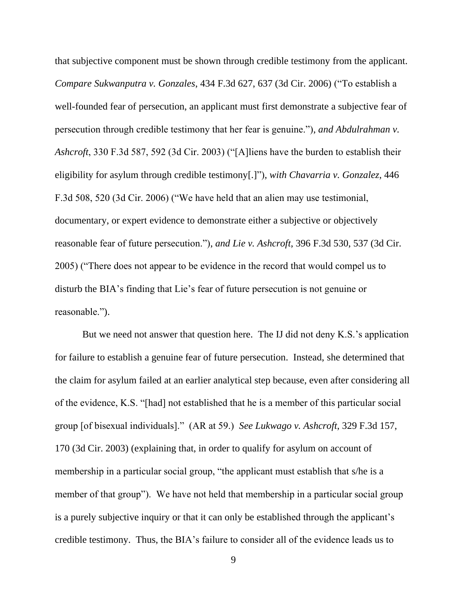that subjective component must be shown through credible testimony from the applicant. *Compare Sukwanputra v. Gonzales*, 434 F.3d 627, 637 (3d Cir. 2006) ("To establish a well-founded fear of persecution, an applicant must first demonstrate a subjective fear of persecution through credible testimony that her fear is genuine."), *and Abdulrahman v. Ashcroft*, 330 F.3d 587, 592 (3d Cir. 2003) ("[A]liens have the burden to establish their eligibility for asylum through credible testimony[.]"), *with Chavarria v. Gonzalez*, 446 F.3d 508, 520 (3d Cir. 2006) ("We have held that an alien may use testimonial, documentary, or expert evidence to demonstrate either a subjective or objectively reasonable fear of future persecution."), *and Lie v. Ashcroft*, 396 F.3d 530, 537 (3d Cir. 2005) ("There does not appear to be evidence in the record that would compel us to disturb the BIA's finding that Lie's fear of future persecution is not genuine or reasonable.").

But we need not answer that question here. The IJ did not deny K.S.'s application for failure to establish a genuine fear of future persecution. Instead, she determined that the claim for asylum failed at an earlier analytical step because, even after considering all of the evidence, K.S. "[had] not established that he is a member of this particular social group [of bisexual individuals]." (AR at 59.) *See Lukwago v. Ashcroft*, 329 F.3d 157, 170 (3d Cir. 2003) (explaining that, in order to qualify for asylum on account of membership in a particular social group, "the applicant must establish that s/he is a member of that group"). We have not held that membership in a particular social group is a purely subjective inquiry or that it can only be established through the applicant's credible testimony. Thus, the BIA's failure to consider all of the evidence leads us to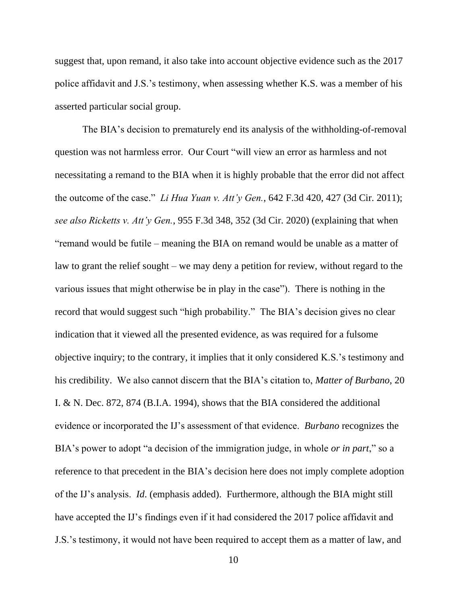suggest that, upon remand, it also take into account objective evidence such as the 2017 police affidavit and J.S.'s testimony, when assessing whether K.S. was a member of his asserted particular social group.

The BIA's decision to prematurely end its analysis of the withholding-of-removal question was not harmless error. Our Court "will view an error as harmless and not necessitating a remand to the BIA when it is highly probable that the error did not affect the outcome of the case." *Li Hua Yuan v. Att'y Gen.*, 642 F.3d 420, 427 (3d Cir. 2011); *see also Ricketts v. Att'y Gen.*, 955 F.3d 348, 352 (3d Cir. 2020) (explaining that when "remand would be futile – meaning the BIA on remand would be unable as a matter of law to grant the relief sought – we may deny a petition for review, without regard to the various issues that might otherwise be in play in the case"). There is nothing in the record that would suggest such "high probability." The BIA's decision gives no clear indication that it viewed all the presented evidence, as was required for a fulsome objective inquiry; to the contrary, it implies that it only considered K.S.'s testimony and his credibility. We also cannot discern that the BIA's citation to, *Matter of Burbano*, 20 I. & N. Dec. 872, 874 (B.I.A. 1994), shows that the BIA considered the additional evidence or incorporated the IJ's assessment of that evidence. *Burbano* recognizes the BIA's power to adopt "a decision of the immigration judge, in whole *or in part*," so a reference to that precedent in the BIA's decision here does not imply complete adoption of the IJ's analysis. *Id*. (emphasis added). Furthermore, although the BIA might still have accepted the IJ's findings even if it had considered the 2017 police affidavit and J.S.'s testimony, it would not have been required to accept them as a matter of law, and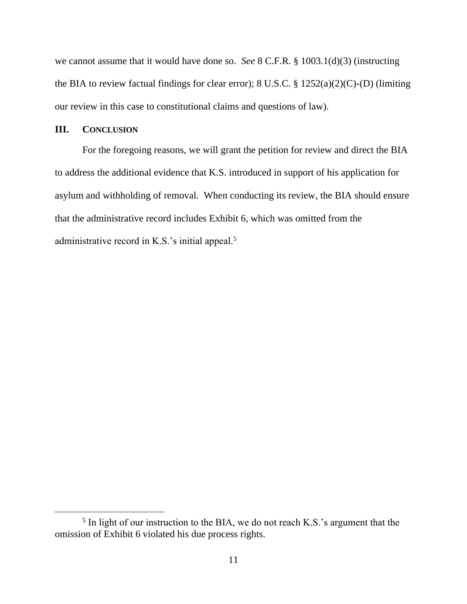we cannot assume that it would have done so. *See* 8 C.F.R. § 1003.1(d)(3) (instructing the BIA to review factual findings for clear error); 8 U.S.C. § 1252(a)(2)(C)-(D) (limiting our review in this case to constitutional claims and questions of law).

#### **III. CONCLUSION**

For the foregoing reasons, we will grant the petition for review and direct the BIA to address the additional evidence that K.S. introduced in support of his application for asylum and withholding of removal. When conducting its review, the BIA should ensure that the administrative record includes Exhibit 6, which was omitted from the administrative record in K.S.'s initial appeal. $5$ 

<sup>&</sup>lt;sup>5</sup> In light of our instruction to the BIA, we do not reach K.S.'s argument that the omission of Exhibit 6 violated his due process rights.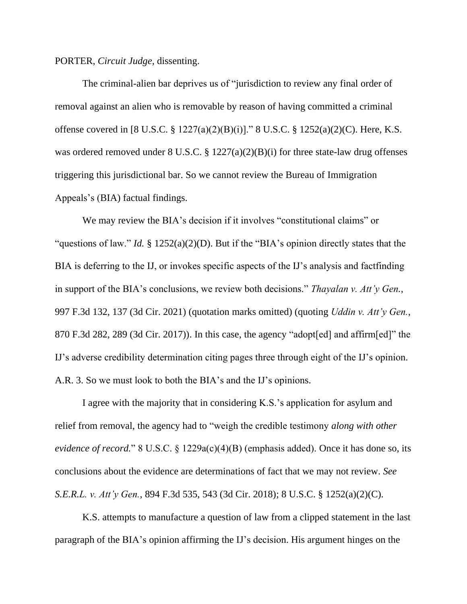PORTER, *Circuit Judge*, dissenting.

The criminal-alien bar deprives us of "jurisdiction to review any final order of removal against an alien who is removable by reason of having committed a criminal offense covered in [8 U.S.C. § 1227(a)(2)(B)(i)]." 8 U.S.C. § 1252(a)(2)(C). Here, K.S. was ordered removed under 8 U.S.C. § 1227(a)(2)(B)(i) for three state-law drug offenses triggering this jurisdictional bar. So we cannot review the Bureau of Immigration Appeals's (BIA) factual findings.

We may review the BIA's decision if it involves "constitutional claims" or "questions of law." *Id.* § 1252(a)(2)(D). But if the "BIA's opinion directly states that the BIA is deferring to the IJ, or invokes specific aspects of the IJ's analysis and factfinding in support of the BIA's conclusions, we review both decisions." *Thayalan v. Att'y Gen.*, 997 F.3d 132, 137 (3d Cir. 2021) (quotation marks omitted) (quoting *Uddin v. Att'y Gen.*, 870 F.3d 282, 289 (3d Cir. 2017)). In this case, the agency "adopt[ed] and affirm[ed]" the IJ's adverse credibility determination citing pages three through eight of the IJ's opinion. A.R. 3. So we must look to both the BIA's and the IJ's opinions.

I agree with the majority that in considering K.S.'s application for asylum and relief from removal, the agency had to "weigh the credible testimony *along with other evidence of record.*" 8 U.S.C. § 1229a(c)(4)(B) (emphasis added). Once it has done so, its conclusions about the evidence are determinations of fact that we may not review. *See S.E.R.L. v. Att'y Gen.*, 894 F.3d 535, 543 (3d Cir. 2018); 8 U.S.C. § 1252(a)(2)(C).

K.S. attempts to manufacture a question of law from a clipped statement in the last paragraph of the BIA's opinion affirming the IJ's decision. His argument hinges on the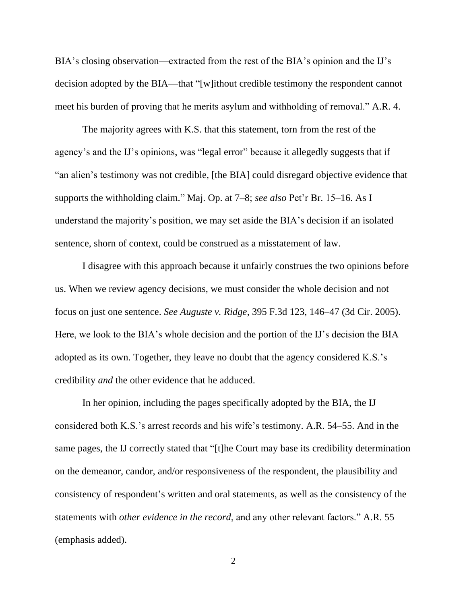BIA's closing observation—extracted from the rest of the BIA's opinion and the IJ's decision adopted by the BIA—that "[w]ithout credible testimony the respondent cannot meet his burden of proving that he merits asylum and withholding of removal." A.R. 4.

The majority agrees with K.S. that this statement, torn from the rest of the agency's and the IJ's opinions, was "legal error" because it allegedly suggests that if "an alien's testimony was not credible, [the BIA] could disregard objective evidence that supports the withholding claim." Maj. Op. at 7–8; *see also* Pet'r Br. 15–16. As I understand the majority's position, we may set aside the BIA's decision if an isolated sentence, shorn of context, could be construed as a misstatement of law.

I disagree with this approach because it unfairly construes the two opinions before us. When we review agency decisions, we must consider the whole decision and not focus on just one sentence. *See Auguste v. Ridge*, 395 F.3d 123, 146–47 (3d Cir. 2005). Here, we look to the BIA's whole decision and the portion of the IJ's decision the BIA adopted as its own. Together, they leave no doubt that the agency considered K.S.'s credibility *and* the other evidence that he adduced.

In her opinion, including the pages specifically adopted by the BIA, the IJ considered both K.S.'s arrest records and his wife's testimony. A.R. 54–55. And in the same pages, the IJ correctly stated that "[t]he Court may base its credibility determination on the demeanor, candor, and/or responsiveness of the respondent, the plausibility and consistency of respondent's written and oral statements, as well as the consistency of the statements with *other evidence in the record*, and any other relevant factors." A.R. 55 (emphasis added).

2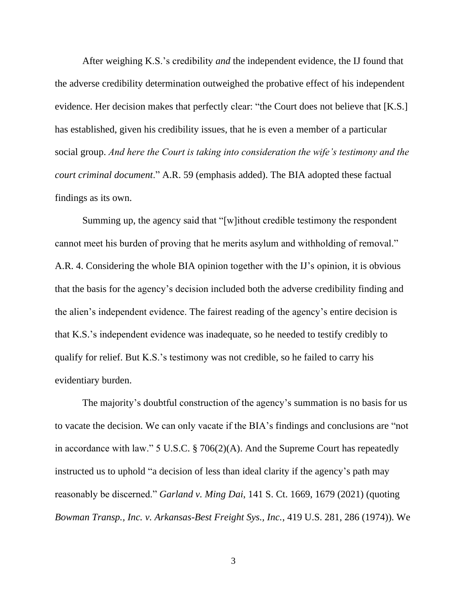After weighing K.S.'s credibility *and* the independent evidence, the IJ found that the adverse credibility determination outweighed the probative effect of his independent evidence. Her decision makes that perfectly clear: "the Court does not believe that [K.S.] has established, given his credibility issues, that he is even a member of a particular social group. *And here the Court is taking into consideration the wife's testimony and the court criminal document*." A.R. 59 (emphasis added). The BIA adopted these factual findings as its own.

Summing up, the agency said that "[w]ithout credible testimony the respondent cannot meet his burden of proving that he merits asylum and withholding of removal." A.R. 4. Considering the whole BIA opinion together with the IJ's opinion, it is obvious that the basis for the agency's decision included both the adverse credibility finding and the alien's independent evidence. The fairest reading of the agency's entire decision is that K.S.'s independent evidence was inadequate, so he needed to testify credibly to qualify for relief. But K.S.'s testimony was not credible, so he failed to carry his evidentiary burden.

The majority's doubtful construction of the agency's summation is no basis for us to vacate the decision. We can only vacate if the BIA's findings and conclusions are "not in accordance with law." 5 U.S.C. § 706(2)(A). And the Supreme Court has repeatedly instructed us to uphold "a decision of less than ideal clarity if the agency's path may reasonably be discerned." *Garland v. Ming Dai*, 141 S. Ct. 1669, 1679 (2021) (quoting *Bowman Transp., Inc. v. Arkansas-Best Freight Sys., Inc.*, 419 U.S. 281, 286 (1974)). We

3